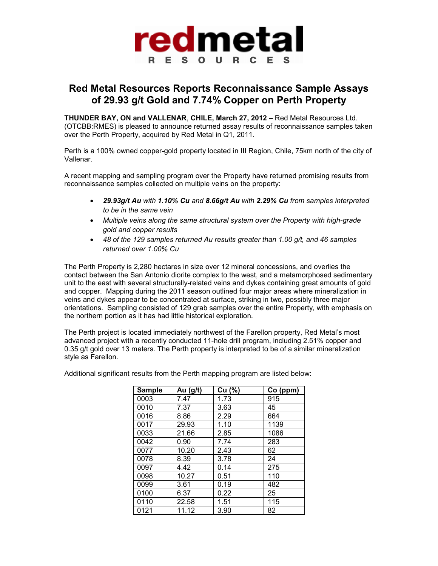

## **Red Metal Resources Reports Reconnaissance Sample Assays of 29.93 g/t Gold and 7.74% Copper on Perth Property**

**THUNDER BAY, ON and VALLENAR**, **CHILE, March 27, 2012 –** Red Metal Resources Ltd. (OTCBB:RMES) is pleased to announce returned assay results of reconnaissance samples taken over the Perth Property, acquired by Red Metal in Q1, 2011.

Perth is a 100% owned copper-gold property located in III Region, Chile, 75km north of the city of Vallenar.

A recent mapping and sampling program over the Property have returned promising results from reconnaissance samples collected on multiple veins on the property:

- *29.93g/t Au with 1.10% Cu and 8.66g/t Au with 2.29% Cu from samples interpreted to be in the same vein*
- *Multiple veins along the same structural system over the Property with high-grade gold and copper results*
- *48 of the 129 samples returned Au results greater than 1.00 g/t, and 46 samples returned over 1.00% Cu*

The Perth Property is 2,280 hectares in size over 12 mineral concessions, and overlies the contact between the San Antonio diorite complex to the west, and a metamorphosed sedimentary unit to the east with several structurally-related veins and dykes containing great amounts of gold and copper. Mapping during the 2011 season outlined four major areas where mineralization in veins and dykes appear to be concentrated at surface, striking in two, possibly three major orientations. Sampling consisted of 129 grab samples over the entire Property, with emphasis on the northern portion as it has had little historical exploration.

The Perth project is located immediately northwest of the Farellon property, Red Metal's most advanced project with a recently conducted 11-hole drill program, including 2.51% copper and 0.35 g/t gold over 13 meters. The Perth property is interpreted to be of a similar mineralization style as Farellon.

| <b>Sample</b> | Au (g/t) | Cu (%) | Co (ppm) |
|---------------|----------|--------|----------|
| 0003          | 7.47     | 1.73   | 915      |
| 0010          | 7.37     | 3.63   | 45       |
| 0016          | 8.86     | 2.29   | 664      |
| 0017          | 29.93    | 1.10   | 1139     |
| 0033          | 21.66    | 2.85   | 1086     |
| 0042          | 0.90     | 7.74   | 283      |
| 0077          | 10.20    | 2.43   | 62       |
| 0078          | 8.39     | 3.78   | 24       |
| 0097          | 4.42     | 0.14   | 275      |
| 0098          | 10.27    | 0.51   | 110      |
| 0099          | 3.61     | 0.19   | 482      |
| 0100          | 6.37     | 0.22   | 25       |
| 0110          | 22.58    | 1.51   | 115      |
| 0121          | 11.12    | 3.90   | 82       |

Additional significant results from the Perth mapping program are listed below: